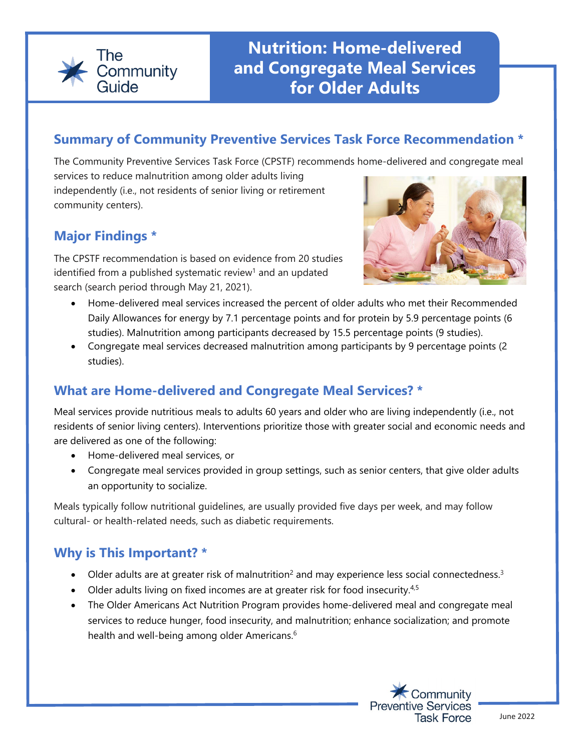

### **Summary of Community Preventive Services Task Force Recommendation \***

The Community Preventive Services Task Force (CPSTF) recommends home-delivered and congregate meal

services to reduce malnutrition among older adults living independently (i.e., not residents of senior living or retirement community centers).

# **Major Findings \***

The CPSTF recommendation is based on evidence from 20 studies identified from a published systematic review<sup>1</sup> and an updated search (search period through May 21, 2021).



- Home-delivered meal services increased the percent of older adults who met their Recommended Daily Allowances for energy by 7.1 percentage points and for protein by 5.9 percentage points (6 studies). Malnutrition among participants decreased by 15.5 percentage points (9 studies).
- Congregate meal services decreased malnutrition among participants by 9 percentage points (2 studies).

## **What are Home-delivered and Congregate Meal Services? \***

Meal services provide nutritious meals to adults 60 years and older who are living independently (i.e., not residents of senior living centers). Interventions prioritize those with greater social and economic needs and are delivered as one of the following:

- Home-delivered meal services, or
- Congregate meal services provided in group settings, such as senior centers, that give older adults an opportunity to socialize.

Meals typically follow nutritional guidelines, are usually provided five days per week, and may follow cultural- or health-related needs, such as diabetic requirements.

### **Why is This Important? \***

- Older adults are at greater risk of malnutrition<sup>2</sup> and may experience less social connectedness.<sup>3</sup>
- Older adults living on fixed incomes are at greater risk for food insecurity.<sup>4,5</sup>
- The Older Americans Act Nutrition Program provides home-delivered meal and congregate meal services to reduce hunger, food insecurity, and malnutrition; enhance socialization; and promote health and well-being among older Americans.<sup>6</sup>